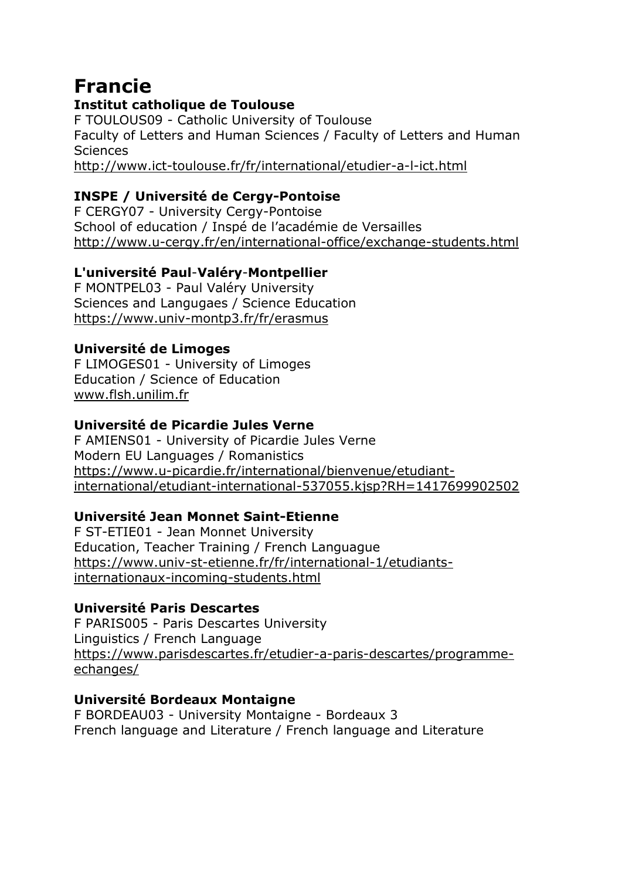# **Francie**

#### **Institut catholique de Toulouse**

F TOULOUS09 - Catholic University of Toulouse Faculty of Letters and Human Sciences / Faculty of Letters and Human **Sciences** <http://www.ict-toulouse.fr/fr/international/etudier-a-l-ict.html>

## **INSPE / Université de Cergy-Pontoise**

F CERGY07 - University Cergy-Pontoise School of education / Inspé de l'académie de Versailles <http://www.u-cergy.fr/en/international-office/exchange-students.html>

## **L'université Paul**-**Valéry**-**Montpellier**

F MONTPEL03 - Paul Valéry University Sciences and Langugaes / Science Education <https://www.univ-montp3.fr/fr/erasmus>

#### **Université de Limoges**

F LIMOGES01 - University of Limoges Education / Science of Education [www.flsh.unilim.fr](http://www.flsh.unilim.fr/)

## **Université de Picardie Jules Verne**

F AMIENS01 - University of Picardie Jules Verne Modern EU Languages / Romanistics [https://www.u-picardie.fr/international/bienvenue/etudiant](https://www.u-picardie.fr/international/bienvenue/etudiant-international/etudiant-international-537055.kjsp?RH=1417699902502)[international/etudiant-international-537055.kjsp?RH=1417699902502](https://www.u-picardie.fr/international/bienvenue/etudiant-international/etudiant-international-537055.kjsp?RH=1417699902502)

#### **Université Jean Monnet Saint-Etienne**

F ST-ETIE01 - Jean Monnet University Education, Teacher Training / French Languague [https://www.univ-st-etienne.fr/fr/international-1/etudiants](https://www.univ-st-etienne.fr/fr/international-1/etudiants-internationaux-incoming-students.html)[internationaux-incoming-students.html](https://www.univ-st-etienne.fr/fr/international-1/etudiants-internationaux-incoming-students.html)

## **Université Paris Descartes**

F PARIS005 - Paris Descartes University Linguistics / French Language [https://www.parisdescartes.fr/etudier-a-paris-descartes/programme](https://www.parisdescartes.fr/etudier-a-paris-descartes/programme-echanges/)[echanges/](https://www.parisdescartes.fr/etudier-a-paris-descartes/programme-echanges/)

#### **Université Bordeaux Montaigne**

F BORDEAU03 - University Montaigne - Bordeaux 3 French language and Literature / French language and Literature